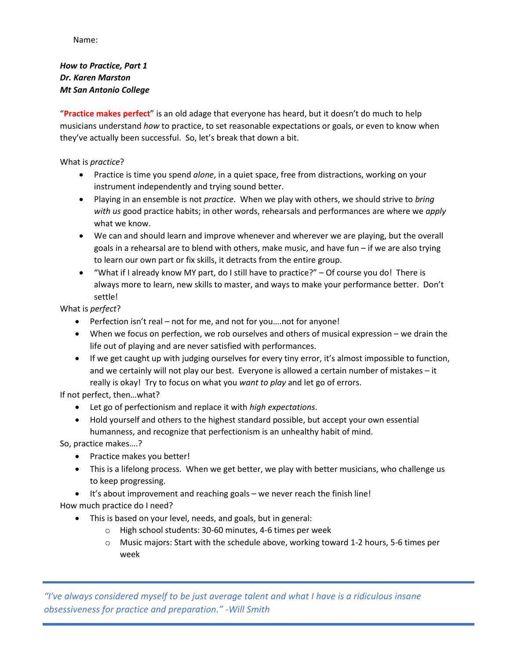Name:

# *How to Practice, Part 1 Dr. Karen Marston Mt San Antonio College*

"**Practice makes perfect**" is an old adage that everyone has heard, but it doesn't do much to help musicians understand *how* to practice, to set reasonable expectations or goals, or even to know when they've actually been successful. So, let's break that down a bit.

# What is *practice*?

- Practice is time you spend *alone*, in a quiet space, free from distractions, working on your instrument independently and trying sound better.
- Playing in an ensemble is not *practice*. When we play with others, we should strive to *bring with us* good practice habits; in other words, rehearsals and performances are where we *apply* what we know.
- We can and should learn and improve whenever and wherever we are playing, but the overall goals in a rehearsal are to blend with others, make music, and have fun – if we are also trying to learn our own part or fix skills, it detracts from the entire group.
- "What if I already know MY part, do I still have to practice?" Of course you do! There is always more to learn, new skills to master, and ways to make your performance better. Don't settle!

What is *perfect*?

- Perfection isn't real not for me, and not for you….not for anyone!
- When we focus on perfection, we rob ourselves and others of musical expression we drain the life out of playing and are never satisfied with performances.
- If we get caught up with judging ourselves for every tiny error, it's almost impossible to function, and we certainly will not play our best. Everyone is allowed a certain number of mistakes – it really is okay! Try to focus on what you *want to play* and let go of errors.

If not perfect, then…what?

- Let go of perfectionism and replace it with *high expectations*.
- Hold yourself and others to the highest standard possible, but accept your own essential humanness, and recognize that perfectionism is an unhealthy habit of mind.

So, practice makes….?

- Practice makes you better!
- This is a lifelong process. When we get better, we play with better musicians, who challenge us to keep progressing.
- It's about improvement and reaching goals we never reach the finish line!

How much practice do I need?

- This is based on your level, needs, and goals, but in general:
	- o High school students: 30-60 minutes, 4-6 times per week
	- o Music majors: Start with the schedule above, working toward 1-2 hours, 5-6 times per week

*"I've always considered myself to be just average talent and what I have is a ridiculous insane obsessiveness for practice and preparation." -Will Smith*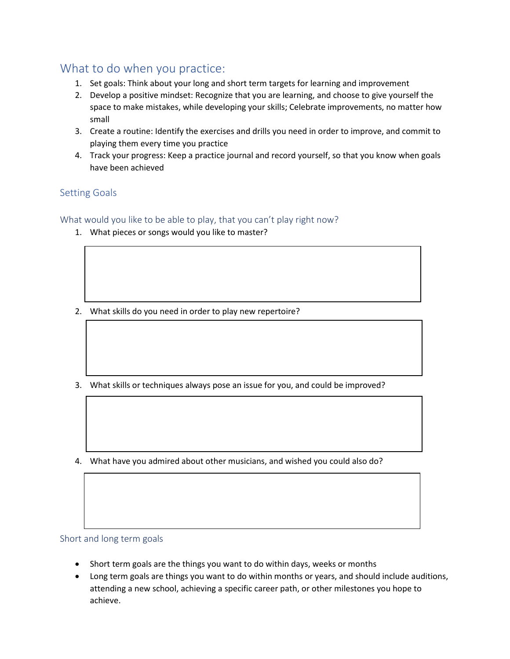# What to do when you practice:

- 1. Set goals: Think about your long and short term targets for learning and improvement
- 2. Develop a positive mindset: Recognize that you are learning, and choose to give yourself the space to make mistakes, while developing your skills; Celebrate improvements, no matter how small
- 3. Create a routine: Identify the exercises and drills you need in order to improve, and commit to playing them every time you practice
- 4. Track your progress: Keep a practice journal and record yourself, so that you know when goals have been achieved

# Setting Goals

What would you like to be able to play, that you can't play right now?

1. What pieces or songs would you like to master?

- 2. What skills do you need in order to play new repertoire?
- 3. What skills or techniques always pose an issue for you, and could be improved?
- 4. What have you admired about other musicians, and wished you could also do?

#### Short and long term goals

- Short term goals are the things you want to do within days, weeks or months
- Long term goals are things you want to do within months or years, and should include auditions, attending a new school, achieving a specific career path, or other milestones you hope to achieve.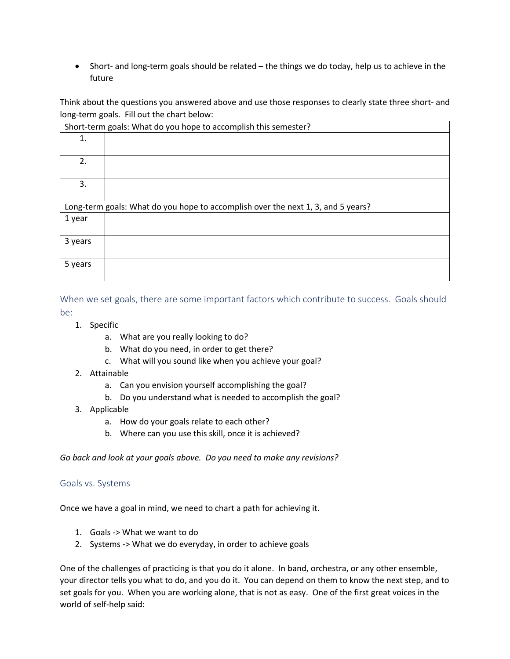• Short- and long-term goals should be related – the things we do today, help us to achieve in the future

Think about the questions you answered above and use those responses to clearly state three short- and long-term goals. Fill out the chart below:

| Short-term goals: What do you hope to accomplish this semester?                  |  |  |
|----------------------------------------------------------------------------------|--|--|
| 1.                                                                               |  |  |
|                                                                                  |  |  |
| 2.                                                                               |  |  |
|                                                                                  |  |  |
| 3.                                                                               |  |  |
|                                                                                  |  |  |
| Long-term goals: What do you hope to accomplish over the next 1, 3, and 5 years? |  |  |
|                                                                                  |  |  |
| 1 year                                                                           |  |  |
|                                                                                  |  |  |
| 3 years                                                                          |  |  |
|                                                                                  |  |  |
| 5 years                                                                          |  |  |

When we set goals, there are some important factors which contribute to success. Goals should be:

- 1. Specific
	- a. What are you really looking to do?
	- b. What do you need, in order to get there?
	- c. What will you sound like when you achieve your goal?
- 2. Attainable
	- a. Can you envision yourself accomplishing the goal?
	- b. Do you understand what is needed to accomplish the goal?
- 3. Applicable
	- a. How do your goals relate to each other?
	- b. Where can you use this skill, once it is achieved?

*Go back and look at your goals above. Do you need to make any revisions?*

#### Goals vs. Systems

Once we have a goal in mind, we need to chart a path for achieving it.

- 1. Goals -> What we want to do
- 2. Systems -> What we do everyday, in order to achieve goals

One of the challenges of practicing is that you do it alone. In band, orchestra, or any other ensemble, your director tells you what to do, and you do it. You can depend on them to know the next step, and to set goals for you. When you are working alone, that is not as easy. One of the first great voices in the world of self-help said: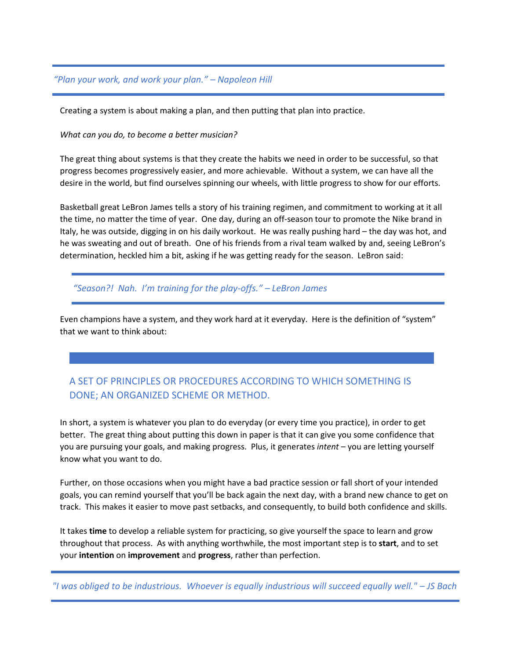### *"Plan your work, and work your plan." – Napoleon Hill*

Creating a system is about making a plan, and then putting that plan into practice.

#### *What can you do, to become a better musician?*

The great thing about systems is that they create the habits we need in order to be successful, so that progress becomes progressively easier, and more achievable. Without a system, we can have all the desire in the world, but find ourselves spinning our wheels, with little progress to show for our efforts.

Basketball great LeBron James tells a story of his training regimen, and commitment to working at it all the time, no matter the time of year. One day, during an off-season tour to promote the Nike brand in Italy, he was outside, digging in on his daily workout. He was really pushing hard – the day was hot, and he was sweating and out of breath. One of his friends from a rival team walked by and, seeing LeBron's determination, heckled him a bit, asking if he was getting ready for the season. LeBron said:

*"Season?! Nah. I'm training for the play-offs." – LeBron James*

Even champions have a system, and they work hard at it everyday. Here is the definition of "system" that we want to think about:

# A SET OF PRINCIPLES OR PROCEDURES ACCORDING TO WHICH SOMETHING IS DONE; AN ORGANIZED SCHEME OR METHOD.

In short, a system is whatever you plan to do everyday (or every time you practice), in order to get better. The great thing about putting this down in paper is that it can give you some confidence that you are pursuing your goals, and making progress. Plus, it generates *intent* – you are letting yourself know what you want to do.

Further, on those occasions when you might have a bad practice session or fall short of your intended goals, you can remind yourself that you'll be back again the next day, with a brand new chance to get on track. This makes it easier to move past setbacks, and consequently, to build both confidence and skills.

It takes **time** to develop a reliable system for practicing, so give yourself the space to learn and grow throughout that process. As with anything worthwhile, the most important step is to **start**, and to set your **intention** on **improvement** and **progress**, rather than perfection.

*"I was obliged to be industrious. Whoever is equally industrious will succeed equally well." – JS Bach*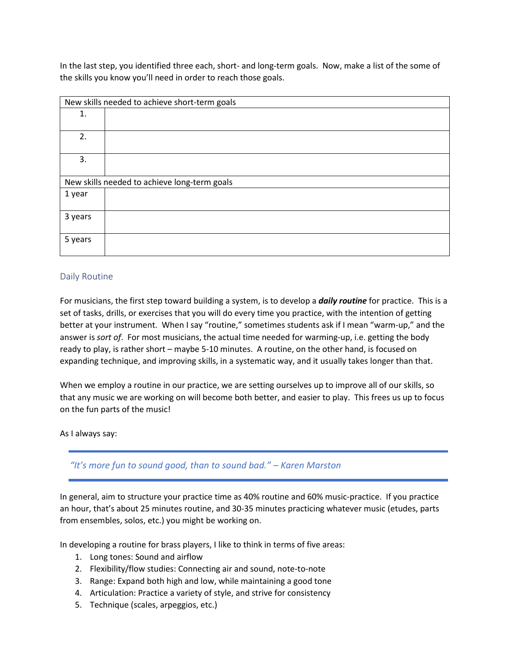In the last step, you identified three each, short- and long-term goals. Now, make a list of the some of the skills you know you'll need in order to reach those goals.

| New skills needed to achieve short-term goals |  |  |
|-----------------------------------------------|--|--|
| 1.                                            |  |  |
| 2.                                            |  |  |
| 3.                                            |  |  |
| New skills needed to achieve long-term goals  |  |  |
| 1 year                                        |  |  |
| 3 years                                       |  |  |
| 5 years                                       |  |  |

### Daily Routine

For musicians, the first step toward building a system, is to develop a *daily routine* for practice. This is a set of tasks, drills, or exercises that you will do every time you practice, with the intention of getting better at your instrument. When I say "routine," sometimes students ask if I mean "warm-up," and the answer is *sort of*. For most musicians, the actual time needed for warming-up, i.e. getting the body ready to play, is rather short – maybe 5-10 minutes. A routine, on the other hand, is focused on expanding technique, and improving skills, in a systematic way, and it usually takes longer than that.

When we employ a routine in our practice, we are setting ourselves up to improve all of our skills, so that any music we are working on will become both better, and easier to play. This frees us up to focus on the fun parts of the music!

As I always say:

*"It's more fun to sound good, than to sound bad." – Karen Marston*

In general, aim to structure your practice time as 40% routine and 60% music-practice. If you practice an hour, that's about 25 minutes routine, and 30-35 minutes practicing whatever music (etudes, parts from ensembles, solos, etc.) you might be working on.

In developing a routine for brass players, I like to think in terms of five areas:

- 1. Long tones: Sound and airflow
- 2. Flexibility/flow studies: Connecting air and sound, note-to-note
- 3. Range: Expand both high and low, while maintaining a good tone
- 4. Articulation: Practice a variety of style, and strive for consistency
- 5. Technique (scales, arpeggios, etc.)